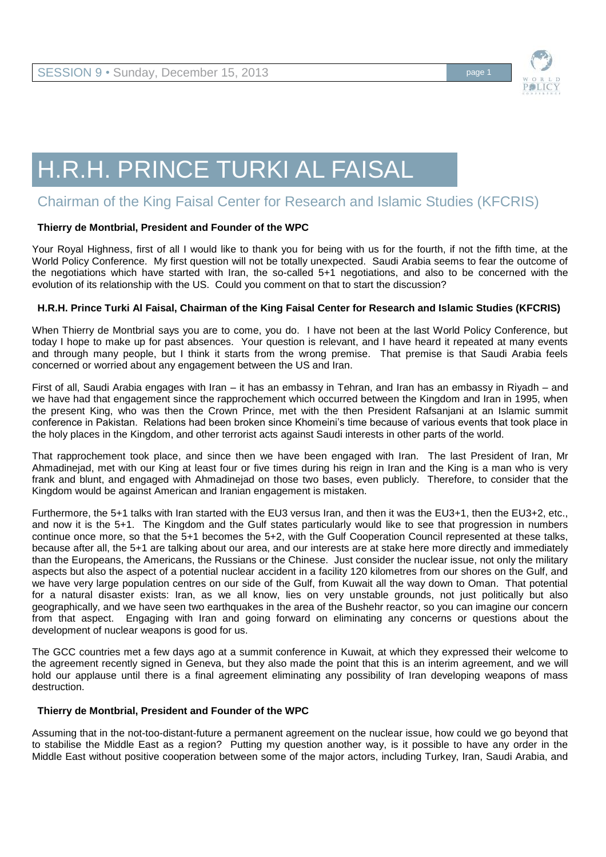

# H.R.H. PRINCE TURKI AL FAISAL

# Chairman of the King Faisal Center for Research and Islamic Studies (KFCRIS)

# **Thierry de Montbrial, President and Founder of the WPC**

Your Royal Highness, first of all I would like to thank you for being with us for the fourth, if not the fifth time, at the World Policy Conference. My first question will not be totally unexpected. Saudi Arabia seems to fear the outcome of the negotiations which have started with Iran, the so-called 5+1 negotiations, and also to be concerned with the evolution of its relationship with the US. Could you comment on that to start the discussion?

# **H.R.H. Prince Turki Al Faisal, Chairman of the King Faisal Center for Research and Islamic Studies (KFCRIS)**

When Thierry de Montbrial says you are to come, you do. I have not been at the last World Policy Conference, but today I hope to make up for past absences. Your question is relevant, and I have heard it repeated at many events and through many people, but I think it starts from the wrong premise. That premise is that Saudi Arabia feels concerned or worried about any engagement between the US and Iran.

First of all, Saudi Arabia engages with Iran – it has an embassy in Tehran, and Iran has an embassy in Riyadh – and we have had that engagement since the rapprochement which occurred between the Kingdom and Iran in 1995, when the present King, who was then the Crown Prince, met with the then President Rafsanjani at an Islamic summit conference in Pakistan. Relations had been broken since Khomeini's time because of various events that took place in the holy places in the Kingdom, and other terrorist acts against Saudi interests in other parts of the world.

That rapprochement took place, and since then we have been engaged with Iran. The last President of Iran, Mr Ahmadinejad, met with our King at least four or five times during his reign in Iran and the King is a man who is very frank and blunt, and engaged with Ahmadinejad on those two bases, even publicly. Therefore, to consider that the Kingdom would be against American and Iranian engagement is mistaken.

Furthermore, the 5+1 talks with Iran started with the EU3 versus Iran, and then it was the EU3+1, then the EU3+2, etc., and now it is the 5+1. The Kingdom and the Gulf states particularly would like to see that progression in numbers continue once more, so that the 5+1 becomes the 5+2, with the Gulf Cooperation Council represented at these talks, because after all, the 5+1 are talking about our area, and our interests are at stake here more directly and immediately than the Europeans, the Americans, the Russians or the Chinese. Just consider the nuclear issue, not only the military aspects but also the aspect of a potential nuclear accident in a facility 120 kilometres from our shores on the Gulf, and we have very large population centres on our side of the Gulf, from Kuwait all the way down to Oman. That potential for a natural disaster exists: Iran, as we all know, lies on very unstable grounds, not just politically but also geographically, and we have seen two earthquakes in the area of the Bushehr reactor, so you can imagine our concern from that aspect. Engaging with Iran and going forward on eliminating any concerns or questions about the development of nuclear weapons is good for us.

The GCC countries met a few days ago at a summit conference in Kuwait, at which they expressed their welcome to the agreement recently signed in Geneva, but they also made the point that this is an interim agreement, and we will hold our applause until there is a final agreement eliminating any possibility of Iran developing weapons of mass destruction.

#### **Thierry de Montbrial, President and Founder of the WPC**

Assuming that in the not-too-distant-future a permanent agreement on the nuclear issue, how could we go beyond that to stabilise the Middle East as a region? Putting my question another way, is it possible to have any order in the Middle East without positive cooperation between some of the major actors, including Turkey, Iran, Saudi Arabia, and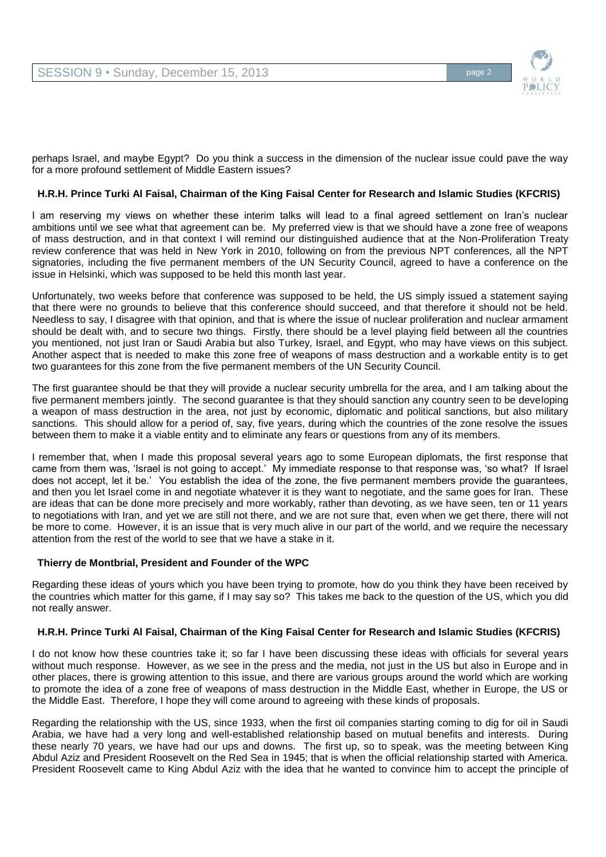

perhaps Israel, and maybe Egypt? Do you think a success in the dimension of the nuclear issue could pave the way for a more profound settlement of Middle Eastern issues?

# **H.R.H. Prince Turki Al Faisal, Chairman of the King Faisal Center for Research and Islamic Studies (KFCRIS)**

I am reserving my views on whether these interim talks will lead to a final agreed settlement on Iran's nuclear ambitions until we see what that agreement can be. My preferred view is that we should have a zone free of weapons of mass destruction, and in that context I will remind our distinguished audience that at the Non-Proliferation Treaty review conference that was held in New York in 2010, following on from the previous NPT conferences, all the NPT signatories, including the five permanent members of the UN Security Council, agreed to have a conference on the issue in Helsinki, which was supposed to be held this month last year.

Unfortunately, two weeks before that conference was supposed to be held, the US simply issued a statement saying that there were no grounds to believe that this conference should succeed, and that therefore it should not be held. Needless to say, I disagree with that opinion, and that is where the issue of nuclear proliferation and nuclear armament should be dealt with, and to secure two things. Firstly, there should be a level playing field between all the countries you mentioned, not just Iran or Saudi Arabia but also Turkey, Israel, and Egypt, who may have views on this subject. Another aspect that is needed to make this zone free of weapons of mass destruction and a workable entity is to get two guarantees for this zone from the five permanent members of the UN Security Council.

The first guarantee should be that they will provide a nuclear security umbrella for the area, and I am talking about the five permanent members jointly. The second guarantee is that they should sanction any country seen to be developing a weapon of mass destruction in the area, not just by economic, diplomatic and political sanctions, but also military sanctions. This should allow for a period of, say, five years, during which the countries of the zone resolve the issues between them to make it a viable entity and to eliminate any fears or questions from any of its members.

I remember that, when I made this proposal several years ago to some European diplomats, the first response that came from them was, 'Israel is not going to accept.' My immediate response to that response was, 'so what? If Israel does not accept, let it be.' You establish the idea of the zone, the five permanent members provide the guarantees, and then you let Israel come in and negotiate whatever it is they want to negotiate, and the same goes for Iran. These are ideas that can be done more precisely and more workably, rather than devoting, as we have seen, ten or 11 years to negotiations with Iran, and yet we are still not there, and we are not sure that, even when we get there, there will not be more to come. However, it is an issue that is very much alive in our part of the world, and we require the necessary attention from the rest of the world to see that we have a stake in it.

#### **Thierry de Montbrial, President and Founder of the WPC**

Regarding these ideas of yours which you have been trying to promote, how do you think they have been received by the countries which matter for this game, if I may say so? This takes me back to the question of the US, which you did not really answer.

# **H.R.H. Prince Turki Al Faisal, Chairman of the King Faisal Center for Research and Islamic Studies (KFCRIS)**

I do not know how these countries take it; so far I have been discussing these ideas with officials for several years without much response. However, as we see in the press and the media, not just in the US but also in Europe and in other places, there is growing attention to this issue, and there are various groups around the world which are working to promote the idea of a zone free of weapons of mass destruction in the Middle East, whether in Europe, the US or the Middle East. Therefore, I hope they will come around to agreeing with these kinds of proposals.

Regarding the relationship with the US, since 1933, when the first oil companies starting coming to dig for oil in Saudi Arabia, we have had a very long and well-established relationship based on mutual benefits and interests. During these nearly 70 years, we have had our ups and downs. The first up, so to speak, was the meeting between King Abdul Aziz and President Roosevelt on the Red Sea in 1945; that is when the official relationship started with America. President Roosevelt came to King Abdul Aziz with the idea that he wanted to convince him to accept the principle of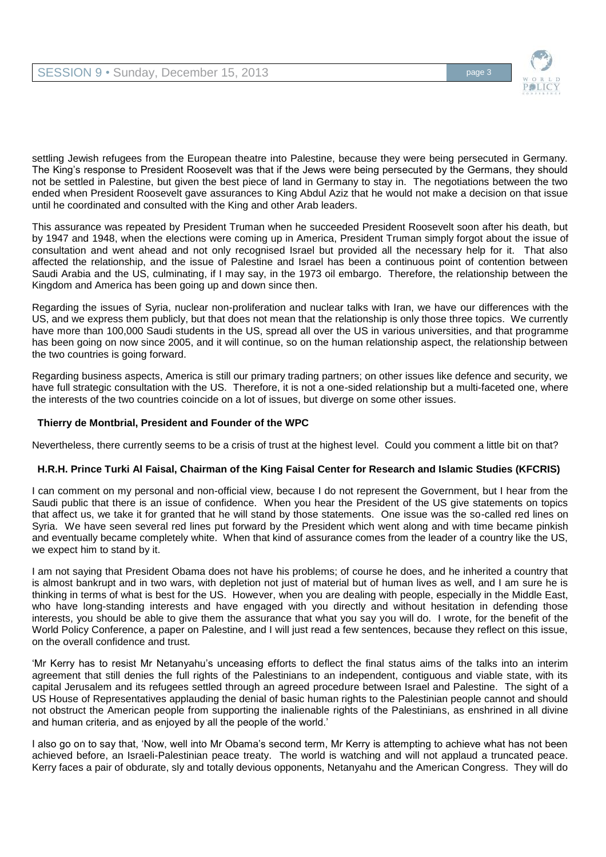

settling Jewish refugees from the European theatre into Palestine, because they were being persecuted in Germany. The King's response to President Roosevelt was that if the Jews were being persecuted by the Germans, they should not be settled in Palestine, but given the best piece of land in Germany to stay in. The negotiations between the two ended when President Roosevelt gave assurances to King Abdul Aziz that he would not make a decision on that issue until he coordinated and consulted with the King and other Arab leaders.

This assurance was repeated by President Truman when he succeeded President Roosevelt soon after his death, but by 1947 and 1948, when the elections were coming up in America, President Truman simply forgot about the issue of consultation and went ahead and not only recognised Israel but provided all the necessary help for it. That also affected the relationship, and the issue of Palestine and Israel has been a continuous point of contention between Saudi Arabia and the US, culminating, if I may say, in the 1973 oil embargo. Therefore, the relationship between the Kingdom and America has been going up and down since then.

Regarding the issues of Syria, nuclear non-proliferation and nuclear talks with Iran, we have our differences with the US, and we express them publicly, but that does not mean that the relationship is only those three topics. We currently have more than 100,000 Saudi students in the US, spread all over the US in various universities, and that programme has been going on now since 2005, and it will continue, so on the human relationship aspect, the relationship between the two countries is going forward.

Regarding business aspects, America is still our primary trading partners; on other issues like defence and security, we have full strategic consultation with the US. Therefore, it is not a one-sided relationship but a multi-faceted one, where the interests of the two countries coincide on a lot of issues, but diverge on some other issues.

# **Thierry de Montbrial, President and Founder of the WPC**

Nevertheless, there currently seems to be a crisis of trust at the highest level. Could you comment a little bit on that?

# **H.R.H. Prince Turki Al Faisal, Chairman of the King Faisal Center for Research and Islamic Studies (KFCRIS)**

I can comment on my personal and non-official view, because I do not represent the Government, but I hear from the Saudi public that there is an issue of confidence. When you hear the President of the US give statements on topics that affect us, we take it for granted that he will stand by those statements. One issue was the so-called red lines on Syria. We have seen several red lines put forward by the President which went along and with time became pinkish and eventually became completely white. When that kind of assurance comes from the leader of a country like the US, we expect him to stand by it.

I am not saying that President Obama does not have his problems; of course he does, and he inherited a country that is almost bankrupt and in two wars, with depletion not just of material but of human lives as well, and I am sure he is thinking in terms of what is best for the US. However, when you are dealing with people, especially in the Middle East, who have long-standing interests and have engaged with you directly and without hesitation in defending those interests, you should be able to give them the assurance that what you say you will do. I wrote, for the benefit of the World Policy Conference, a paper on Palestine, and I will just read a few sentences, because they reflect on this issue, on the overall confidence and trust.

'Mr Kerry has to resist Mr Netanyahu's unceasing efforts to deflect the final status aims of the talks into an interim agreement that still denies the full rights of the Palestinians to an independent, contiguous and viable state, with its capital Jerusalem and its refugees settled through an agreed procedure between Israel and Palestine. The sight of a US House of Representatives applauding the denial of basic human rights to the Palestinian people cannot and should not obstruct the American people from supporting the inalienable rights of the Palestinians, as enshrined in all divine and human criteria, and as enjoyed by all the people of the world.'

I also go on to say that, 'Now, well into Mr Obama's second term, Mr Kerry is attempting to achieve what has not been achieved before, an Israeli-Palestinian peace treaty. The world is watching and will not applaud a truncated peace. Kerry faces a pair of obdurate, sly and totally devious opponents, Netanyahu and the American Congress. They will do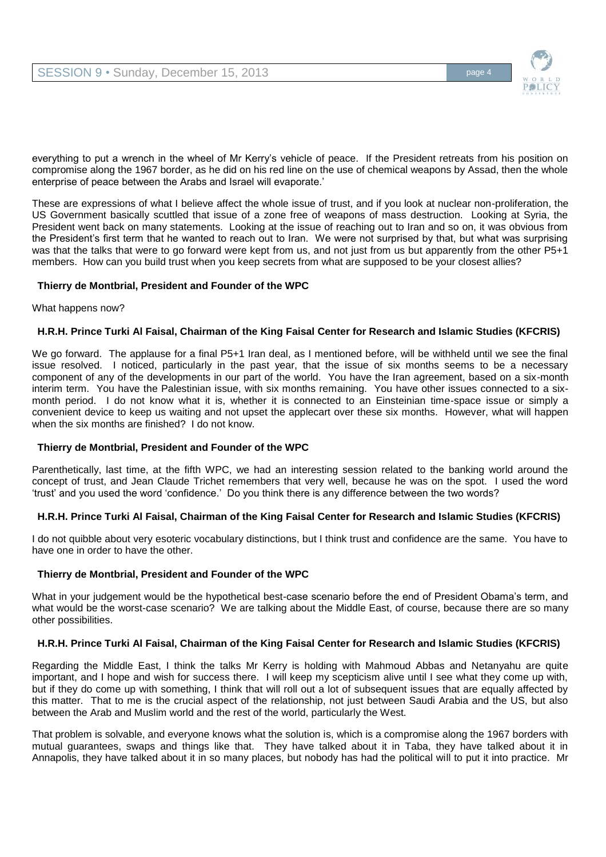

everything to put a wrench in the wheel of Mr Kerry's vehicle of peace. If the President retreats from his position on compromise along the 1967 border, as he did on his red line on the use of chemical weapons by Assad, then the whole enterprise of peace between the Arabs and Israel will evaporate.'

These are expressions of what I believe affect the whole issue of trust, and if you look at nuclear non-proliferation, the US Government basically scuttled that issue of a zone free of weapons of mass destruction. Looking at Syria, the President went back on many statements. Looking at the issue of reaching out to Iran and so on, it was obvious from the President's first term that he wanted to reach out to Iran. We were not surprised by that, but what was surprising was that the talks that were to go forward were kept from us, and not just from us but apparently from the other P5+1 members. How can you build trust when you keep secrets from what are supposed to be your closest allies?

# **Thierry de Montbrial, President and Founder of the WPC**

#### What happens now?

# **H.R.H. Prince Turki Al Faisal, Chairman of the King Faisal Center for Research and Islamic Studies (KFCRIS)**

We go forward. The applause for a final P5+1 Iran deal, as I mentioned before, will be withheld until we see the final issue resolved. I noticed, particularly in the past year, that the issue of six months seems to be a necessary component of any of the developments in our part of the world. You have the Iran agreement, based on a six-month interim term. You have the Palestinian issue, with six months remaining. You have other issues connected to a sixmonth period. I do not know what it is, whether it is connected to an Einsteinian time-space issue or simply a convenient device to keep us waiting and not upset the applecart over these six months. However, what will happen when the six months are finished? I do not know.

#### **Thierry de Montbrial, President and Founder of the WPC**

Parenthetically, last time, at the fifth WPC, we had an interesting session related to the banking world around the concept of trust, and Jean Claude Trichet remembers that very well, because he was on the spot. I used the word 'trust' and you used the word 'confidence.' Do you think there is any difference between the two words?

# **H.R.H. Prince Turki Al Faisal, Chairman of the King Faisal Center for Research and Islamic Studies (KFCRIS)**

I do not quibble about very esoteric vocabulary distinctions, but I think trust and confidence are the same. You have to have one in order to have the other.

#### **Thierry de Montbrial, President and Founder of the WPC**

What in your judgement would be the hypothetical best-case scenario before the end of President Obama's term, and what would be the worst-case scenario? We are talking about the Middle East, of course, because there are so many other possibilities.

#### **H.R.H. Prince Turki Al Faisal, Chairman of the King Faisal Center for Research and Islamic Studies (KFCRIS)**

Regarding the Middle East, I think the talks Mr Kerry is holding with Mahmoud Abbas and Netanyahu are quite important, and I hope and wish for success there. I will keep my scepticism alive until I see what they come up with, but if they do come up with something, I think that will roll out a lot of subsequent issues that are equally affected by this matter. That to me is the crucial aspect of the relationship, not just between Saudi Arabia and the US, but also between the Arab and Muslim world and the rest of the world, particularly the West.

That problem is solvable, and everyone knows what the solution is, which is a compromise along the 1967 borders with mutual guarantees, swaps and things like that. They have talked about it in Taba, they have talked about it in Annapolis, they have talked about it in so many places, but nobody has had the political will to put it into practice. Mr